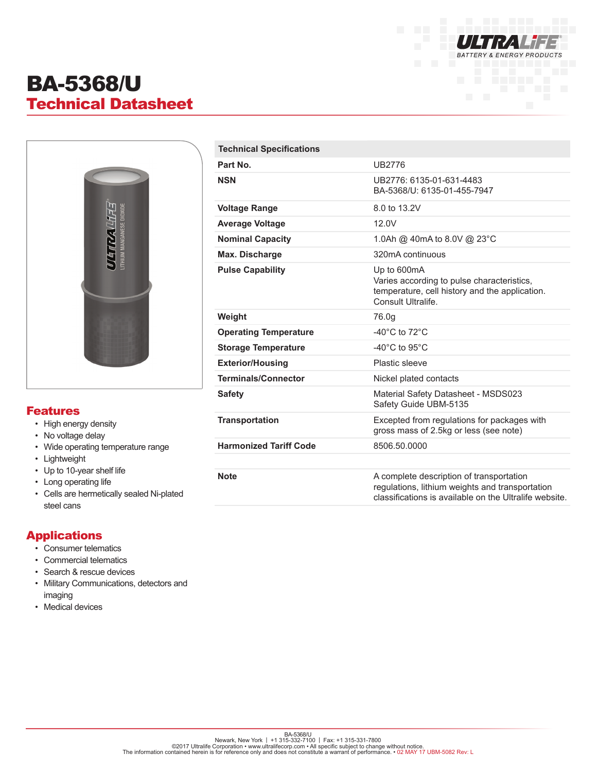

# BA-5368/U Technical Datasheet



#### Features

- High energy density
- No voltage delay
- Wide operating temperature range
- Lightweight
- Up to 10-year shelf life
- Long operating life
- Cells are hermetically sealed Ni-plated steel cans

### Applications

- Consumer telematics
- Commercial telematics
- Search & rescue devices
- Military Communications, detectors and imaging
- Medical devices

| <b>Technical Specifications</b> |                                                                                                                                                       |
|---------------------------------|-------------------------------------------------------------------------------------------------------------------------------------------------------|
| Part No.                        | <b>UB2776</b>                                                                                                                                         |
| <b>NSN</b>                      | UB2776: 6135-01-631-4483<br>BA-5368/U: 6135-01-455-7947                                                                                               |
| <b>Voltage Range</b>            | 8.0 to 13.2V                                                                                                                                          |
| <b>Average Voltage</b>          | 12.0V                                                                                                                                                 |
| <b>Nominal Capacity</b>         | 1.0Ah @ 40mA to 8.0V @ 23°C                                                                                                                           |
| Max. Discharge                  | 320mA continuous                                                                                                                                      |
| <b>Pulse Capability</b>         | Up to 600mA<br>Varies according to pulse characteristics,<br>temperature, cell history and the application.<br>Consult Ultralife.                     |
| Weight                          | 76.0g                                                                                                                                                 |
| <b>Operating Temperature</b>    | -40 $^{\circ}$ C to 72 $^{\circ}$ C                                                                                                                   |
| <b>Storage Temperature</b>      | -40 $^{\circ}$ C to 95 $^{\circ}$ C                                                                                                                   |
| <b>Exterior/Housing</b>         | Plastic sleeve                                                                                                                                        |
| <b>Terminals/Connector</b>      | Nickel plated contacts                                                                                                                                |
| <b>Safety</b>                   | Material Safety Datasheet - MSDS023<br>Safety Guide UBM-5135                                                                                          |
| <b>Transportation</b>           | Excepted from regulations for packages with<br>gross mass of 2.5kg or less (see note)                                                                 |
| <b>Harmonized Tariff Code</b>   | 8506.50.0000                                                                                                                                          |
|                                 |                                                                                                                                                       |
| <b>Note</b>                     | A complete description of transportation<br>regulations, lithium weights and transportation<br>classifications is available on the Ultralife website. |